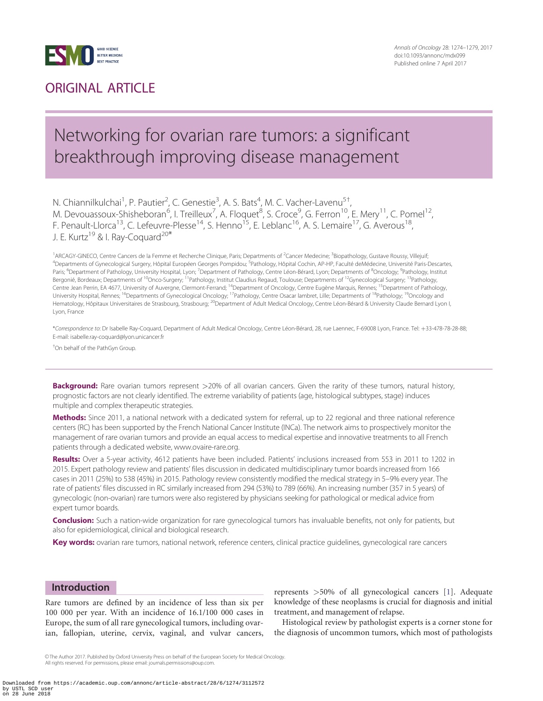

## ORIGINAL ARTICLE

## Networking for ovarian rare tumors: a significant breakthrough improving disease management

N. Chiannilkulchai<sup>1</sup>, P. Pautier<sup>2</sup>, C. Genestie<sup>3</sup>, A. S. Bats<sup>4</sup>, M. C. Vacher-Lavenu<sup>5†</sup>, M. Devouassoux-Shisheboran<sup>6</sup>, I. Treilleux<sup>7</sup>, A. Floquet<sup>8</sup>, S. Croce<sup>9</sup>, G. Ferron<sup>10</sup>, E. Mery<sup>11</sup>, C. Pomel<sup>12</sup>, F. Penault-Llorca<sup>13</sup>, C. Lefeuvre-Plesse<sup>14</sup>, S. Henno<sup>15</sup>, E. Leblanc<sup>16</sup>, A. S. Lemaire<sup>17</sup>, G. Averous<sup>18</sup>, J. E. Kurtz<sup>19</sup> & I. Ray-Coquard<sup>20\*</sup>

<sup>1</sup>ARCAGY-GINECO, Centre Cancers de la Femme et Recherche Clinique, Paris; Departments of <sup>2</sup>Cancer Medecine; <sup>3</sup>Biopathology, Gustave Roussy, Villejuif, <sup>4</sup>Departments of Gynecological Surgery, Hôpital Européen Georges Pompidou; <sup>5</sup>Pathology, Hôpital Cochin, AP-HP, Faculté deMédecine, Université Paris-Descartes, Paris; <sup>6</sup>Department of Pathology, University Hospital, Lyon; <sup>7</sup>Department of Pathology, Centre Léon-Bérard, Lyon; Departments of <sup>8</sup>Oncology; <sup>9</sup>Pathology, Institut Bergonie, Bordeaux; Departments of <sup>10</sup>Onco-Surgery; <sup>11</sup>Pathology, Institut Claudius Regaud, Toulouse; Departments of <sup>12</sup>Gynecological Surgery; <sup>13</sup>Pathology, Centre Jean Perrin, EA 4677, University of Auvergne, Clermont-Ferrand; <sup>14</sup>Department of Oncology, Centre Eugène Marquis, Rennes; <sup>15</sup>Department of Pathology, University Hospital, Rennes; <sup>16</sup>Departments of Gynecological Oncology; <sup>17</sup>Pathology, Centre Osacar lambret, Lille; Departments of <sup>18</sup>Pathology; <sup>19</sup>Oncology and Hematology, Hôpitaux Universitaires de Strasbourg, Strasbourg; <sup>20</sup>Department of Adult Medical Oncology, Centre Léon-Bérard & University Claude Bernard Lyon I, Lyon, France

\*Correspondence to: Dr Isabelle Ray-Coquard, Department of Adult Medical Oncology, Centre Le´on-Be´rard, 28, rue Laennec, F-69008 Lyon, France. Tel: þ33-478-78-28-88; E-mail: isabelle.ray-coquard@lyon.unicancer.fr

† On behalf of the PathGyn Group.

Background: Rare ovarian tumors represent >20% of all ovarian cancers. Given the rarity of these tumors, natural history, prognostic factors are not clearly identified. The extreme variability of patients (age, histological subtypes, stage) induces multiple and complex therapeutic strategies.

Methods: Since 2011, a national network with a dedicated system for referral, up to 22 regional and three national reference centers (RC) has been supported by the French National Cancer Institute (INCa). The network aims to prospectively monitor the management of rare ovarian tumors and provide an equal access to medical expertise and innovative treatments to all French patients through a dedicated website, [www.ovaire-rare.org.](http://www.ovaire-rare.org)

Results: Over a 5-year activity, 4612 patients have been included. Patients' inclusions increased from 553 in 2011 to 1202 in 2015. Expert pathology review and patients' files discussion in dedicated multidisciplinary tumor boards increased from 166 cases in 2011 (25%) to 538 (45%) in 2015. Pathology review consistently modified the medical strategy in 5–9% every year. The rate of patients' files discussed in RC similarly increased from 294 (53%) to 789 (66%). An increasing number (357 in 5 years) of gynecologic (non-ovarian) rare tumors were also registered by physicians seeking for pathological or medical advice from expert tumor boards.

**Conclusion:** Such a nation-wide organization for rare gynecological tumors has invaluable benefits, not only for patients, but also for epidemiological, clinical and biological research.

Key words: ovarian rare tumors, national network, reference centers, clinical practice quidelines, gynecological rare cancers

#### Introduction

Rare tumors are defined by an incidence of less than six per 100 000 per year. With an incidence of 16.1/100 000 cases in Europe, the sum of all rare gynecological tumors, including ovarian, fallopian, uterine, cervix, vaginal, and vulvar cancers,

represents >50% of all gynecological cancers [[1](#page-4-0)]. Adequate knowledge of these neoplasms is crucial for diagnosis and initial treatment, and management of relapse.

Histological review by pathologist experts is a corner stone for the diagnosis of uncommon tumors, which most of pathologists

© The Author 2017. Published by Oxford University Press on behalf of the European Society for Medical Oncology All rights reserved. For permissions, please email: journals.permissions@oup.com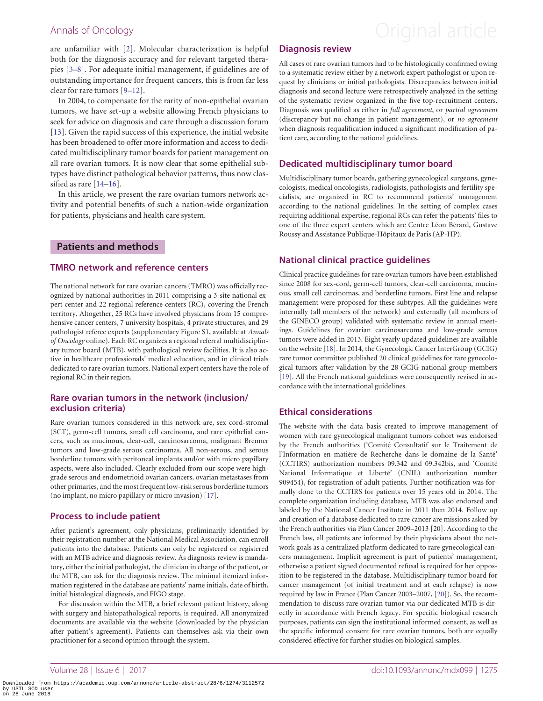are unfamiliar with [\[2\]](#page-4-0). Molecular characterization is helpful both for the diagnosis accuracy and for relevant targeted therapies [[3–8\]](#page-4-0). For adequate initial management, if guidelines are of outstanding importance for frequent cancers, this is from far less clear for rare tumors [\[9](#page-4-0)–[12\]](#page-5-0).

In 2004, to compensate for the rarity of non-epithelial ovarian tumors, we have set-up a website allowing French physicians to seek for advice on diagnosis and care through a discussion forum [\[13](#page-5-0)]. Given the rapid success of this experience, the initial website has been broadened to offer more information and access to dedicated multidisciplinary tumor boards for patient management on all rare ovarian tumors. It is now clear that some epithelial subtypes have distinct pathological behavior patterns, thus now classified as rare [[14–16](#page-5-0)].

In this article, we present the rare ovarian tumors network activity and potential benefits of such a nation-wide organization for patients, physicians and health care system.

#### Patients and methods

#### TMRO network and reference centers

The national network for rare ovarian cancers (TMRO) was officially recognized by national authorities in 2011 comprising a 3-site national expert center and 22 regional reference centers (RC), covering the French territory. Altogether, 25 RCs have involved physicians from 15 comprehensive cancer centers, 7 university hospitals, 4 private structures, and 29 pathologist referee experts (supplementary Figure S1, available at Annals of Oncology online). Each RC organizes a regional referral multidisciplinary tumor board (MTB), with pathological review facilities. It is also active in healthcare professionals' medical education, and in clinical trials dedicated to rare ovarian tumors. National expert centers have the role of regional RC in their region.

#### Rare ovarian tumors in the network (inclusion/ exclusion criteria)

Rare ovarian tumors considered in this network are, sex cord-stromal (SCT), germ-cell tumors, small cell carcinoma, and rare epithelial cancers, such as mucinous, clear-cell, carcinosarcoma, malignant Brenner tumors and low-grade serous carcinomas. All non-serous, and serous borderline tumors with peritoneal implants and/or with micro papillary aspects, were also included. Clearly excluded from our scope were highgrade serous and endometrioid ovarian cancers, ovarian metastases from other primaries, and the most frequent low-risk serous borderline tumors (no implant, no micro papillary or micro invasion) [\[17](#page-5-0)].

#### Process to include patient

After patient's agreement, only physicians, preliminarily identified by their registration number at the National Medical Association, can enroll patients into the database. Patients can only be registered or registered with an MTB advice and diagnosis review. As diagnosis review is mandatory, either the initial pathologist, the clinician in charge of the patient, or the MTB, can ask for the diagnosis review. The minimal itemized information registered in the database are patients' name initials, date of birth, initial histological diagnosis, and FIGO stage.

For discussion within the MTB, a brief relevant patient history, along with surgery and histopathological reports, is required. All anonymized documents are available via the website (downloaded by the physician after patient's agreement). Patients can themselves ask via their own practitioner for a second opinion through the system.

#### Diagnosis review

All cases of rare ovarian tumors had to be histologically confirmed owing to a systematic review either by a network expert pathologist or upon request by clinicians or initial pathologists. Discrepancies between initial diagnosis and second lecture were retrospectively analyzed in the setting of the systematic review organized in the five top-recruitment centers. Diagnosis was qualified as either in full agreement, or partial agreement (discrepancy but no change in patient management), or no agreement when diagnosis requalification induced a significant modification of patient care, according to the national guidelines.

#### Dedicated multidisciplinary tumor board

Multidisciplinary tumor boards, gathering gynecological surgeons, gynecologists, medical oncologists, radiologists, pathologists and fertility specialists, are organized in RC to recommend patients' management according to the national guidelines. In the setting of complex cases requiring additional expertise, regional RCs can refer the patients' files to one of the three expert centers which are Centre Léon Bérard, Gustave Roussy and Assistance Publique-Hôpitaux de Paris (AP-HP).

#### National clinical practice guidelines

Clinical practice guidelines for rare ovarian tumors have been established since 2008 for sex-cord, germ-cell tumors, clear-cell carcinoma, mucinous, small cell carcinomas, and borderline tumors. First line and relapse management were proposed for these subtypes. All the guidelines were internally (all members of the network) and externally (all members of the GINECO group) validated with systematic review in annual meetings. Guidelines for ovarian carcinosarcoma and low-grade serous tumors were added in 2013. Eight yearly updated guidelines are available on the website [[18](#page-5-0)]. In 2014, the Gynecologic Cancer InterGroup (GCIG) rare tumor committee published 20 clinical guidelines for rare gynecological tumors after validation by the 28 GCIG national group members [\[19](#page-5-0)]. All the French national guidelines were consequently revised in accordance with the international guidelines.

#### Ethical considerations

The website with the data basis created to improve management of women with rare gynecological malignant tumors cohort was endorsed by the French authorities ('Comité Consultatif sur le Traitement de l'Information en matière de Recherche dans le domaine de la Santé' (CCTIRS) authorization numbers 09.342 and 09.342bis, and 'Comite´ National Informatique et Liberté' (CNIL) authorization number 909454), for registration of adult patients. Further notification was formally done to the CCTIRS for patients over 15 years old in 2014. The complete organization including database, MTB was also endorsed and labeled by the National Cancer Institute in 2011 then 2014. Follow up and creation of a database dedicated to rare cancer are missions asked by the French authorities via Plan Cancer 2009–2013 [20]. According to the French law, all patients are informed by their physicians about the network goals as a centralized platform dedicated to rare gynecological cancers management. Implicit agreement is part of patients' management, otherwise a patient signed documented refusal is required for her opposition to be registered in the database. Multidisciplinary tumor board for cancer management (of initial treatment and at each relapse) is now required by law in France (Plan Cancer 2003–2007, [\[20](#page-5-0)]). So, the recommendation to discuss rare ovarian tumor via our dedicated MTB is directly in accordance with French legacy. For specific biological research purposes, patients can sign the institutional informed consent, as well as the specific informed consent for rare ovarian tumors, both are equally considered effective for further studies on biological samples.

# Annals of Oncology **Annals of Oncology Annal article**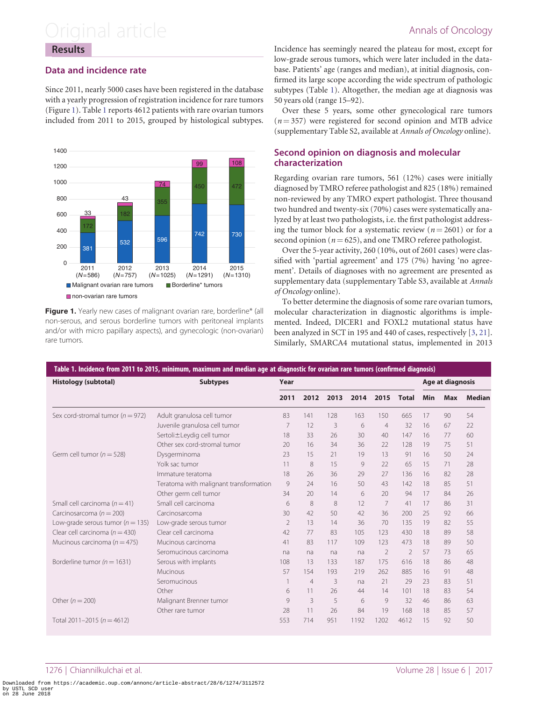## Original article **Annals of Oncology**

#### Results

#### Data and incidence rate

Since 2011, nearly 5000 cases have been registered in the database with a yearly progression of registration incidence for rare tumors (Figure 1). Table 1 reports 4612 patients with rare ovarian tumors included from 2011 to 2015, grouped by histological subtypes.



Figure 1. Yearly new cases of malignant ovarian rare, borderline\* (all non-serous, and serous borderline tumors with peritoneal implants and/or with micro papillary aspects), and gynecologic (non-ovarian) rare tumors.

Incidence has seemingly neared the plateau for most, except for low-grade serous tumors, which were later included in the database. Patients' age (ranges and median), at initial diagnosis, confirmed its large scope according the wide spectrum of pathologic subtypes (Table 1). Altogether, the median age at diagnosis was 50 years old (range 15–92).

Over these 5 years, some other gynecological rare tumors  $(n = 357)$  were registered for second opinion and MTB advice (supplementary Table S2, available at Annals of Oncology online).

### Second opinion on diagnosis and molecular characterization

Regarding ovarian rare tumors, 561 (12%) cases were initially diagnosed by TMRO referee pathologist and 825 (18%) remained non-reviewed by any TMRO expert pathologist. Three thousand two hundred and twenty-six (70%) cases were systematically analyzed by at least two pathologists, i.e. the first pathologist addressing the tumor block for a systematic review ( $n = 2601$ ) or for a second opinion ( $n = 625$ ), and one TMRO referee pathologist.

Over the 5-year activity, 260 (10%, out of 2601 cases) were classified with 'partial agreement' and 175 (7%) having 'no agreement'. Details of diagnoses with no agreement are presented as supplementary data (supplementary Table S3, available at Annals of Oncology online).

To better determine the diagnosis of some rare ovarian tumors, molecular characterization in diagnostic algorithms is implemented. Indeed, DICER1 and FOXL2 mutational status have been analyzed in SCT in 195 and 440 of cases, respectively [[3](#page-4-0), [21\]](#page-5-0). Similarly, SMARCA4 mutational status, implemented in 2013

| Table 1. Incidence from 2011 to 2015, minimum, maximum and median age at diagnostic for ovarian rare tumors (confirmed diagnosis) |                                        |                |                |      |      |                |                |                  |            |               |
|-----------------------------------------------------------------------------------------------------------------------------------|----------------------------------------|----------------|----------------|------|------|----------------|----------------|------------------|------------|---------------|
| Histology (subtotal)                                                                                                              | <b>Subtypes</b>                        | Year           |                |      |      |                |                | Age at diagnosis |            |               |
|                                                                                                                                   |                                        | 2011           | 2012           | 2013 | 2014 | 2015           | <b>Total</b>   | Min              | <b>Max</b> | <b>Median</b> |
| Sex cord-stromal tumor ( $n = 972$ )                                                                                              | Adult granulosa cell tumor             | 83             | 141            | 128  | 163  | 150            | 665            | 17               | 90         | 54            |
|                                                                                                                                   | Juvenile granulosa cell tumor          | 7              | 12             | 3    | 6    | $\overline{4}$ | 32             | 16               | 67         | 22            |
|                                                                                                                                   | Sertoli±Leydig cell tumor              | 18             | 33             | 26   | 30   | 40             | 147            | 16               | 77         | 60            |
|                                                                                                                                   | Other sex cord-stromal tumor           | 20             | 16             | 34   | 36   | 22             | 128            | 19               | 75         | 51            |
| Germ cell tumor ( $n = 528$ )                                                                                                     | Dysgerminoma                           | 23             | 15             | 21   | 19   | 13             | 91             | 16               | 50         | 24            |
|                                                                                                                                   | Yolk sac tumor                         | 11             | 8              | 15   | 9    | 22             | 65             | 15               | 71         | 28            |
|                                                                                                                                   | Immature teratoma                      | 18             | 26             | 36   | 29   | 27             | 136            | 16               | 82         | 28            |
|                                                                                                                                   | Teratoma with malignant transformation | 9              | 24             | 16   | 50   | 43             | 142            | 18               | 85         | 51            |
|                                                                                                                                   | Other germ cell tumor                  | 34             | 20             | 14   | 6    | 20             | 94             | 17               | 84         | 26            |
| Small cell carcinoma ( $n = 41$ )                                                                                                 | Small cell carcinoma                   | 6              | 8              | 8    | 12   | 7              | 41             | 17               | 86         | 31            |
| Carcinosarcoma ( $n = 200$ )                                                                                                      | Carcinosarcoma                         | 30             | 42             | 50   | 42   | 36             | 200            | 25               | 92         | 66            |
| Low-grade serous tumor ( $n = 135$ )                                                                                              | Low-grade serous tumor                 | $\overline{2}$ | 13             | 14   | 36   | 70             | 135            | 19               | 82         | 55            |
| Clear cell carcinoma ( $n = 430$ )                                                                                                | Clear cell carcinoma                   | 42             | 77             | 83   | 105  | 123            | 430            | 18               | 89         | 58            |
| Mucinous carcinoma ( $n = 475$ )                                                                                                  | Mucinous carcinoma                     | 41             | 83             | 117  | 109  | 123            | 473            | 18               | 89         | 50            |
|                                                                                                                                   | Seromucinous carcinoma                 | na             | na             | na   | na   | $\overline{2}$ | $\overline{2}$ | 57               | 73         | 65            |
| Borderline tumor ( $n = 1631$ )                                                                                                   | Serous with implants                   | 108            | 13             | 133  | 187  | 175            | 616            | 18               | 86         | 48            |
|                                                                                                                                   | Mucinous                               | 57             | 154            | 193  | 219  | 262            | 885            | 16               | 91         | 48            |
|                                                                                                                                   | Seromucinous                           | $\mathbf{1}$   | $\overline{4}$ | 3    | na   | 21             | 29             | 23               | 83         | 51            |
|                                                                                                                                   | Other                                  | 6              | 11             | 26   | 44   | 14             | 101            | 18               | 83         | 54            |
| Other ( $n = 200$ )                                                                                                               | Malignant Brenner tumor                | 9              | 3              | 5    | 6    | 9              | 32             | 46               | 86         | 63            |
|                                                                                                                                   | Other rare tumor                       | 28             | 11             | 26   | 84   | 19             | 168            | 18               | 85         | 57            |
| Total 2011-2015 ( $n = 4612$ )                                                                                                    |                                        | 553            | 714            | 951  | 1192 | 1202           | 4612           | 15               | 92         | 50            |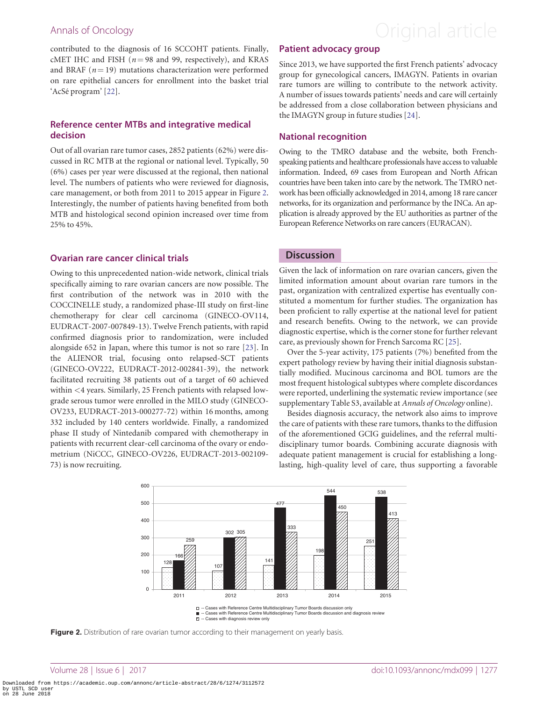contributed to the diagnosis of 16 SCCOHT patients. Finally, cMET IHC and FISH ( $n = 98$  and 99, respectively), and KRAS and BRAF  $(n = 19)$  mutations characterization were performed on rare epithelial cancers for enrollment into the basket trial 'AcSé program' [[22\]](#page-5-0).

### Reference center MTBs and integrative medical decision

Out of all ovarian rare tumor cases, 2852 patients (62%) were discussed in RC MTB at the regional or national level. Typically, 50 (6%) cases per year were discussed at the regional, then national level. The numbers of patients who were reviewed for diagnosis, care management, or both from 2011 to 2015 appear in Figure 2. Interestingly, the number of patients having benefited from both MTB and histological second opinion increased over time from 25% to 45%.

#### Ovarian rare cancer clinical trials

Owing to this unprecedented nation-wide network, clinical trials specifically aiming to rare ovarian cancers are now possible. The first contribution of the network was in 2010 with the COCCINELLE study, a randomized phase-III study on first-line chemotherapy for clear cell carcinoma (GINECO-OV114, EUDRACT-2007-007849-13). Twelve French patients, with rapid confirmed diagnosis prior to randomization, were included alongside 652 in Japan, where this tumor is not so rare [[23\]](#page-5-0). In the ALIENOR trial, focusing onto relapsed-SCT patients (GINECO-OV222, EUDRACT-2012-002841-39), the network facilitated recruiting 38 patients out of a target of 60 achieved within <4 years. Similarly, 25 French patients with relapsed lowgrade serous tumor were enrolled in the MILO study (GINECO-OV233, EUDRACT-2013-000277-72) within 16 months, among 332 included by 140 centers worldwide. Finally, a randomized phase II study of Nintedanib compared with chemotherapy in patients with recurrent clear-cell carcinoma of the ovary or endometrium (NiCCC, GINECO-OV226, EUDRACT-2013-002109- 73) is now recruiting.

#### Patient advocacy group

Since 2013, we have supported the first French patients' advocacy group for gynecological cancers, IMAGYN. Patients in ovarian rare tumors are willing to contribute to the network activity. A number of issues towards patients' needs and care will certainly be addressed from a close collaboration between physicians and the IMAGYN group in future studies [\[24](#page-5-0)].

#### National recognition

Owing to the TMRO database and the website, both Frenchspeaking patients and healthcare professionals have access to valuable information. Indeed, 69 cases from European and North African countries have been taken into care by the network. The TMRO network has been officially acknowledged in 2014, among 18 rare cancer networks, for its organization and performance by the INCa. An application is already approved by the EU authorities as partner of the European Reference Networks on rare cancers (EURACAN).

#### **Discussion**

Given the lack of information on rare ovarian cancers, given the limited information amount about ovarian rare tumors in the past, organization with centralized expertise has eventually constituted a momentum for further studies. The organization has been proficient to rally expertise at the national level for patient and research benefits. Owing to the network, we can provide diagnostic expertise, which is the corner stone for further relevant care, as previously shown for French Sarcoma RC [[25\]](#page-5-0).

Over the 5-year activity, 175 patients (7%) benefited from the expert pathology review by having their initial diagnosis substantially modified. Mucinous carcinoma and BOL tumors are the most frequent histological subtypes where complete discordances were reported, underlining the systematic review importance (see supplementary Table S3, available at Annals of Oncology online).

Besides diagnosis accuracy, the network also aims to improve the care of patients with these rare tumors, thanks to the diffusion of the aforementioned GCIG guidelines, and the referral multidisciplinary tumor boards. Combining accurate diagnosis with adequate patient management is crucial for establishing a longlasting, high-quality level of care, thus supporting a favorable



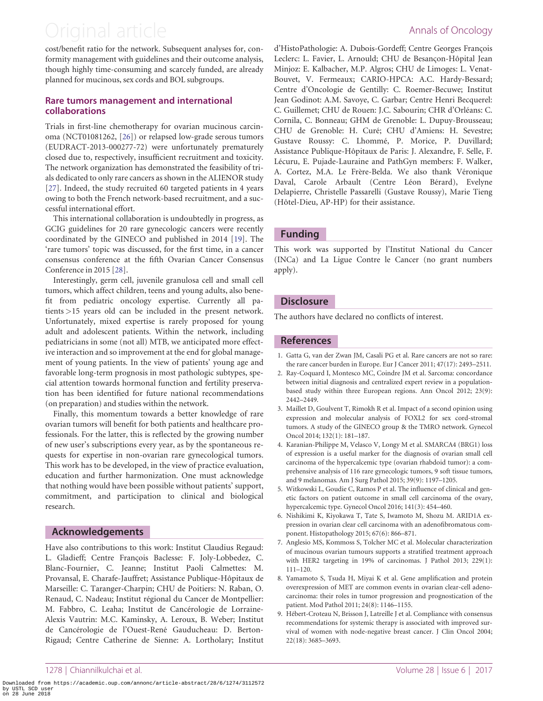# <span id="page-4-0"></span>Original article **Annals of Oncology**

cost/benefit ratio for the network. Subsequent analyses for, conformity management with guidelines and their outcome analysis, though highly time-consuming and scarcely funded, are already planned for mucinous, sex cords and BOL subgroups.

#### Rare tumors management and international collaborations

Trials in first-line chemotherapy for ovarian mucinous carcinoma (NCT01081262, [\[26](#page-5-0)]) or relapsed low-grade serous tumors (EUDRACT-2013-000277-72) were unfortunately prematurely closed due to, respectively, insufficient recruitment and toxicity. The network organization has demonstrated the feasibility of trials dedicated to only rare cancers as shown in the ALIENOR study [[27\]](#page-5-0). Indeed, the study recruited 60 targeted patients in 4 years owing to both the French network-based recruitment, and a successful international effort.

This international collaboration is undoubtedly in progress, as GCIG guidelines for 20 rare gynecologic cancers were recently coordinated by the GINECO and published in 2014 [[19](#page-5-0)]. The 'rare tumors' topic was discussed, for the first time, in a cancer consensus conference at the fifth Ovarian Cancer Consensus Conference in 2015 [[28\]](#page-5-0).

Interestingly, germ cell, juvenile granulosa cell and small cell tumors, which affect children, teens and young adults, also benefit from pediatric oncology expertise. Currently all patients >15 years old can be included in the present network. Unfortunately, mixed expertise is rarely proposed for young adult and adolescent patients. Within the network, including pediatricians in some (not all) MTB, we anticipated more effective interaction and so improvement at the end for global management of young patients. In the view of patients' young age and favorable long-term prognosis in most pathologic subtypes, special attention towards hormonal function and fertility preservation has been identified for future national recommendations (on preparation) and studies within the network.

Finally, this momentum towards a better knowledge of rare ovarian tumors will benefit for both patients and healthcare professionals. For the latter, this is reflected by the growing number of new user's subscriptions every year, as by the spontaneous requests for expertise in non-ovarian rare gynecological tumors. This work has to be developed, in the view of practice evaluation, education and further harmonization. One must acknowledge that nothing would have been possible without patients' support, commitment, and participation to clinical and biological research.

#### Acknowledgements

Have also contributions to this work: Institut Claudius Regaud: L. Gladieff; Centre François Baclesse: F. Joly-Lobbedez, C. Blanc-Fournier, C. Jeanne; Institut Paoli Calmettes: M. Provansal, E. Charafe-Jauffret; Assistance Publique-Hôpitaux de Marseille: C. Taranger-Charpin; CHU de Poitiers: N. Raban, O. Renaud, C. Nadeau; Institut régional du Cancer de Montpellier: M. Fabbro, C. Leaha; Institut de Cancérologie de Lorraine-Alexis Vautrin: M.C. Kaminsky, A. Leroux, B. Weber; Institut de Cancérologie de l'Ouest-René Gauducheau: D. Berton-Rigaud; Centre Catherine de Sienne: A. Lortholary; Institut d'HistoPathologie: A. Dubois-Gordeff; Centre Georges François Leclerc: L. Favier, L. Arnould; CHU de Besançon-Hôpital Jean Minjoz: E. Kalbacher, M.P. Algros; CHU de Limoges: L. Venat-Bouvet, V. Fermeaux; CARIO-HPCA: A.C. Hardy-Bessard; Centre d'Oncologie de Gentilly: C. Roemer-Becuwe; Institut Jean Godinot: A.M. Savoye, C. Garbar; Centre Henri Becquerel: C. Guillemet; CHU de Rouen: J.C. Sabourin; CHR d'Orléans: C. Cornila, C. Bonneau; GHM de Grenoble: L. Dupuy-Brousseau; CHU de Grenoble: H. Curé; CHU d'Amiens: H. Sevestre; Gustave Roussy: C. Lhommé, P. Morice, P. Duvillard; Assistance Publique-Hôpitaux de Paris: J. Alexandre, F. Selle, F. Lécuru, E. Pujade-Lauraine and PathGyn members: F. Walker, A. Cortez, M.A. Le Frère-Belda. We also thank Véronique Daval, Carole Arbault (Centre Léon Bérard), Evelyne Delapierre, Christelle Passarelli (Gustave Roussy), Marie Tieng (Hôtel-Dieu, AP-HP) for their assistance.

### Funding

This work was supported by l'Institut National du Cancer (INCa) and La Ligue Contre le Cancer (no grant numbers apply).

### **Disclosure**

The authors have declared no conflicts of interest.

### References

- 1. Gatta G, van der Zwan JM, Casali PG et al. Rare cancers are not so rare: the rare cancer burden in Europe. Eur J Cancer 2011; 47(17): 2493–2511.
- 2. Ray-Coquard I, Montesco MC, Coindre JM et al. Sarcoma: concordance between initial diagnosis and centralized expert review in a populationbased study within three European regions. Ann Oncol 2012; 23(9): 2442–2449.
- 3. Maillet D, Goulvent T, Rimokh R et al. Impact of a second opinion using expression and molecular analysis of FOXL2 for sex cord-stromal tumors. A study of the GINECO group & the TMRO network. Gynecol Oncol 2014; 132(1): 181–187.
- 4. Karanian-Philippe M, Velasco V, Longy M et al. SMARCA4 (BRG1) loss of expression is a useful marker for the diagnosis of ovarian small cell carcinoma of the hypercalcemic type (ovarian rhabdoid tumor): a comprehensive analysis of 116 rare gynecologic tumors, 9 soft tissue tumors, and 9 melanomas. Am J Surg Pathol 2015; 39(9): 1197–1205.
- 5. Witkowski L, Goudie C, Ramos P et al. The influence of clinical and genetic factors on patient outcome in small cell carcinoma of the ovary, hypercalcemic type. Gynecol Oncol 2016; 141(3): 454–460.
- 6. Nishikimi K, Kiyokawa T, Tate S, Iwamoto M, Shozu M. ARID1A expression in ovarian clear cell carcinoma with an adenofibromatous component. Histopathology 2015; 67(6): 866–871.
- 7. Anglesio MS, Kommoss S, Tolcher MC et al. Molecular characterization of mucinous ovarian tumours supports a stratified treatment approach with HER2 targeting in 19% of carcinomas. J Pathol 2013; 229(1): 111–120.
- 8. Yamamoto S, Tsuda H, Miyai K et al. Gene amplification and protein overexpression of MET are common events in ovarian clear-cell adenocarcinoma: their roles in tumor progression and prognostication of the patient. Mod Pathol 2011; 24(8): 1146–1155.
- 9. Hébert-Croteau N, Brisson J, Latreille J et al. Compliance with consensus recommendations for systemic therapy is associated with improved survival of women with node-negative breast cancer. J Clin Oncol 2004; 22(18): 3685–3693.